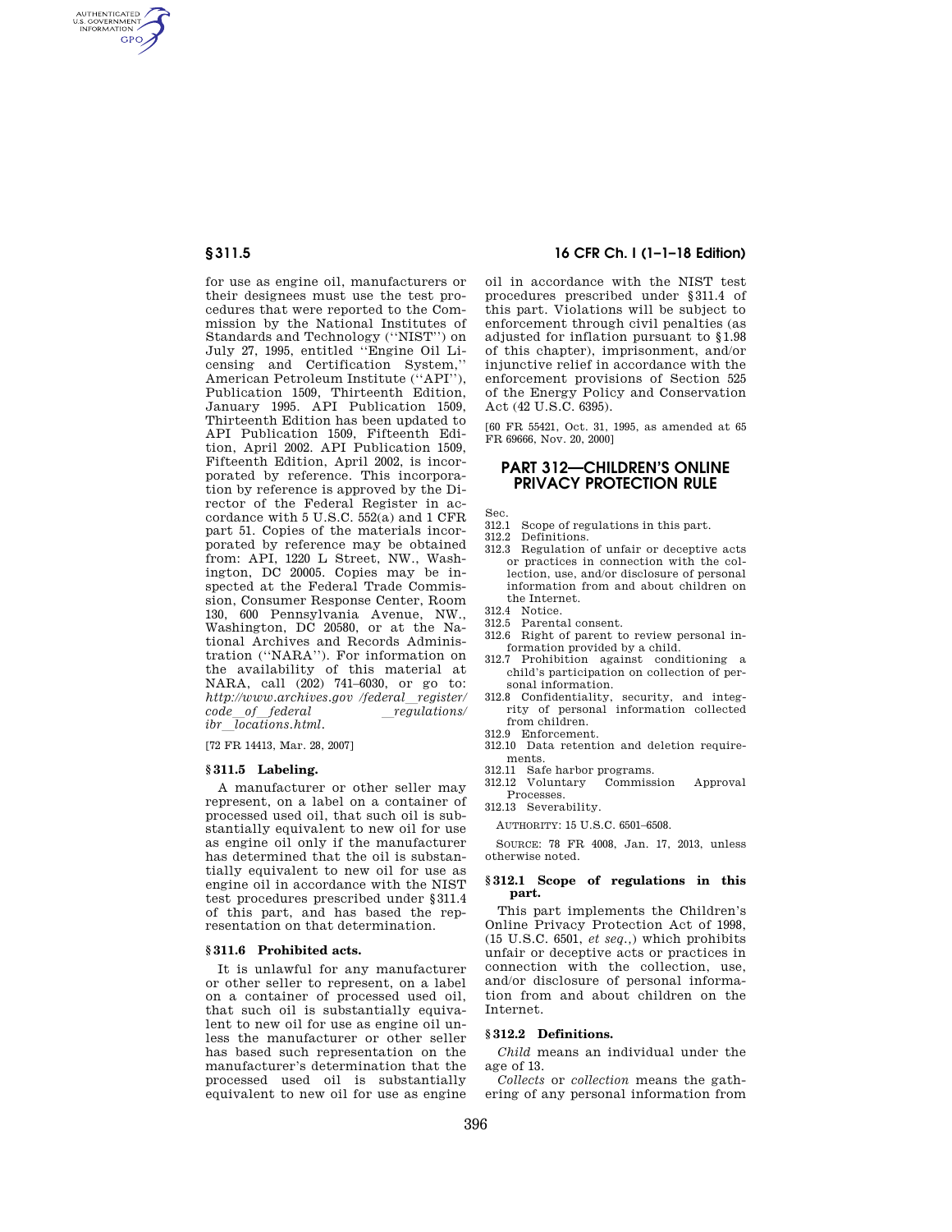AUTHENTICATED<br>U.S. GOVERNMENT<br>INFORMATION **GPO** 

> for use as engine oil, manufacturers or their designees must use the test procedures that were reported to the Commission by the National Institutes of Standards and Technology (''NIST'') on July 27, 1995, entitled ''Engine Oil Licensing and Certification System,'' American Petroleum Institute (''API''), Publication 1509, Thirteenth Edition. January 1995. API Publication 1509, Thirteenth Edition has been updated to API Publication 1509, Fifteenth Edition, April 2002. API Publication 1509, Fifteenth Edition, April 2002, is incorporated by reference. This incorporation by reference is approved by the Director of the Federal Register in accordance with 5 U.S.C. 552(a) and 1 CFR part 51. Copies of the materials incorporated by reference may be obtained from: API, 1220 L Street, NW., Washington, DC 20005. Copies may be inspected at the Federal Trade Commission, Consumer Response Center, Room 130, 600 Pennsylvania Avenue, NW., Washington, DC 20580, or at the National Archives and Records Administration (''NARA''). For information on the availability of this material at NARA, call (202) 741–6030, or go to: *http://www.archives.gov /federal\_register/*  $code\_\textit{of}\_\textit{federal}\_\textit{regulations/}$ *code*l*of*l*federal* l*regulations/ ibr*l*locations.html.*

[72 FR 14413, Mar. 28, 2007]

## **§ 311.5 Labeling.**

A manufacturer or other seller may represent, on a label on a container of processed used oil, that such oil is substantially equivalent to new oil for use as engine oil only if the manufacturer has determined that the oil is substantially equivalent to new oil for use as engine oil in accordance with the NIST test procedures prescribed under §311.4 of this part, and has based the representation on that determination.

#### **§ 311.6 Prohibited acts.**

It is unlawful for any manufacturer or other seller to represent, on a label on a container of processed used oil, that such oil is substantially equivalent to new oil for use as engine oil unless the manufacturer or other seller has based such representation on the manufacturer's determination that the processed used oil is substantially equivalent to new oil for use as engine

# **§ 311.5 16 CFR Ch. I (1–1–18 Edition)**

oil in accordance with the NIST test procedures prescribed under §311.4 of this part. Violations will be subject to enforcement through civil penalties (as adjusted for inflation pursuant to §1.98 of this chapter), imprisonment, and/or injunctive relief in accordance with the enforcement provisions of Section 525 of the Energy Policy and Conservation Act (42 U.S.C. 6395).

[60 FR 55421, Oct. 31, 1995, as amended at 65 FR 69666, Nov. 20, 2000]

# **PART 312—CHILDREN'S ONLINE PRIVACY PROTECTION RULE**

#### Sec.

- 312.1 Scope of regulations in this part.
- 312.2 Definitions.
- 312.3 Regulation of unfair or deceptive acts or practices in connection with the collection, use, and/or disclosure of personal information from and about children on the Internet.
- 312.4 Notice.
- 312.5 Parental consent.
- 312.6 Right of parent to review personal information provided by a child.
- 312.7 Prohibition against conditioning a child's participation on collection of personal information.
- 312.8 Confidentiality, security, and integrity of personal information collected from children.
- 312.9 Enforcement.
- 312.10 Data retention and deletion requirements.
- 312.11 Safe harbor programs. 312.12 Voluntary Commission Approval
- Processes. 312.13 Severability.

AUTHORITY: 15 U.S.C. 6501–6508.

SOURCE: 78 FR 4008, Jan. 17, 2013, unless otherwise noted.

## **§ 312.1 Scope of regulations in this part.**

This part implements the Children's Online Privacy Protection Act of 1998, (15 U.S.C. 6501, *et seq.,*) which prohibits unfair or deceptive acts or practices in connection with the collection, use, and/or disclosure of personal information from and about children on the Internet.

## **§ 312.2 Definitions.**

*Child* means an individual under the age of 13.

*Collects* or *collection* means the gathering of any personal information from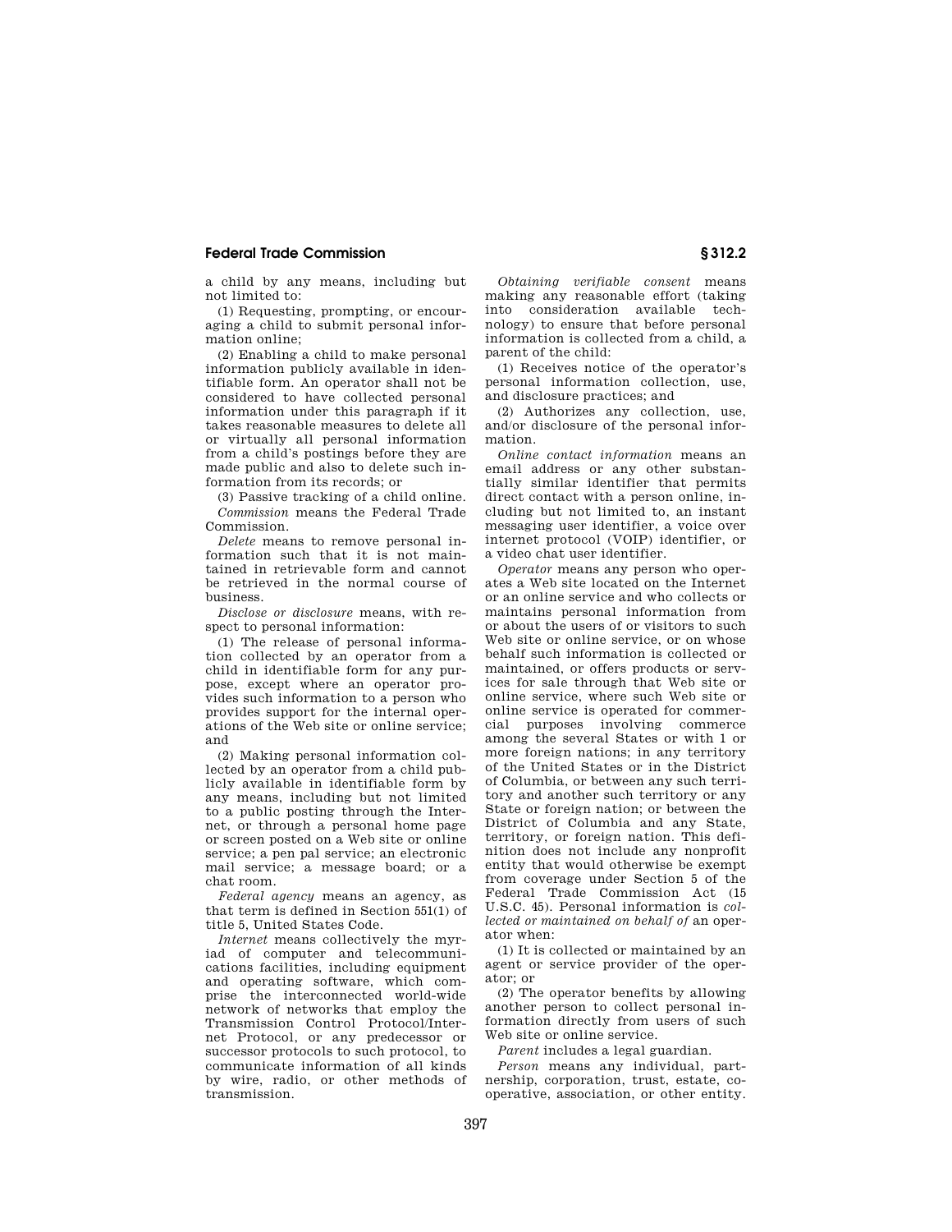a child by any means, including but not limited to:

(1) Requesting, prompting, or encouraging a child to submit personal information online;

(2) Enabling a child to make personal information publicly available in identifiable form. An operator shall not be considered to have collected personal information under this paragraph if it takes reasonable measures to delete all or virtually all personal information from a child's postings before they are made public and also to delete such information from its records; or

(3) Passive tracking of a child online. *Commission* means the Federal Trade Commission.

*Delete* means to remove personal information such that it is not maintained in retrievable form and cannot be retrieved in the normal course of business.

*Disclose or disclosure* means, with respect to personal information:

(1) The release of personal information collected by an operator from a child in identifiable form for any purpose, except where an operator provides such information to a person who provides support for the internal operations of the Web site or online service; and

(2) Making personal information collected by an operator from a child publicly available in identifiable form by any means, including but not limited to a public posting through the Internet, or through a personal home page or screen posted on a Web site or online service; a pen pal service; an electronic mail service; a message board; or a chat room.

*Federal agency* means an agency, as that term is defined in Section 551(1) of title 5, United States Code.

*Internet* means collectively the myriad of computer and telecommunications facilities, including equipment and operating software, which comprise the interconnected world-wide network of networks that employ the Transmission Control Protocol/Internet Protocol, or any predecessor or successor protocols to such protocol, to communicate information of all kinds by wire, radio, or other methods of transmission.

*Obtaining verifiable consent* means making any reasonable effort (taking into consideration available technology) to ensure that before personal information is collected from a child, a parent of the child:

(1) Receives notice of the operator's personal information collection, use, and disclosure practices; and

(2) Authorizes any collection, use, and/or disclosure of the personal information.

*Online contact information* means an email address or any other substantially similar identifier that permits direct contact with a person online, including but not limited to, an instant messaging user identifier, a voice over internet protocol (VOIP) identifier, or a video chat user identifier.

*Operator* means any person who operates a Web site located on the Internet or an online service and who collects or maintains personal information from or about the users of or visitors to such Web site or online service, or on whose behalf such information is collected or maintained, or offers products or services for sale through that Web site or online service, where such Web site or online service is operated for commercial purposes involving commerce among the several States or with 1 or more foreign nations; in any territory of the United States or in the District of Columbia, or between any such territory and another such territory or any State or foreign nation; or between the District of Columbia and any State, territory, or foreign nation. This definition does not include any nonprofit entity that would otherwise be exempt from coverage under Section 5 of the Federal Trade Commission Act (15 U.S.C. 45). Personal information is *collected or maintained on behalf of* an operator when:

(1) It is collected or maintained by an agent or service provider of the operator; or

(2) The operator benefits by allowing another person to collect personal information directly from users of such Web site or online service.

*Parent* includes a legal guardian.

*Person* means any individual, partnership, corporation, trust, estate, cooperative, association, or other entity.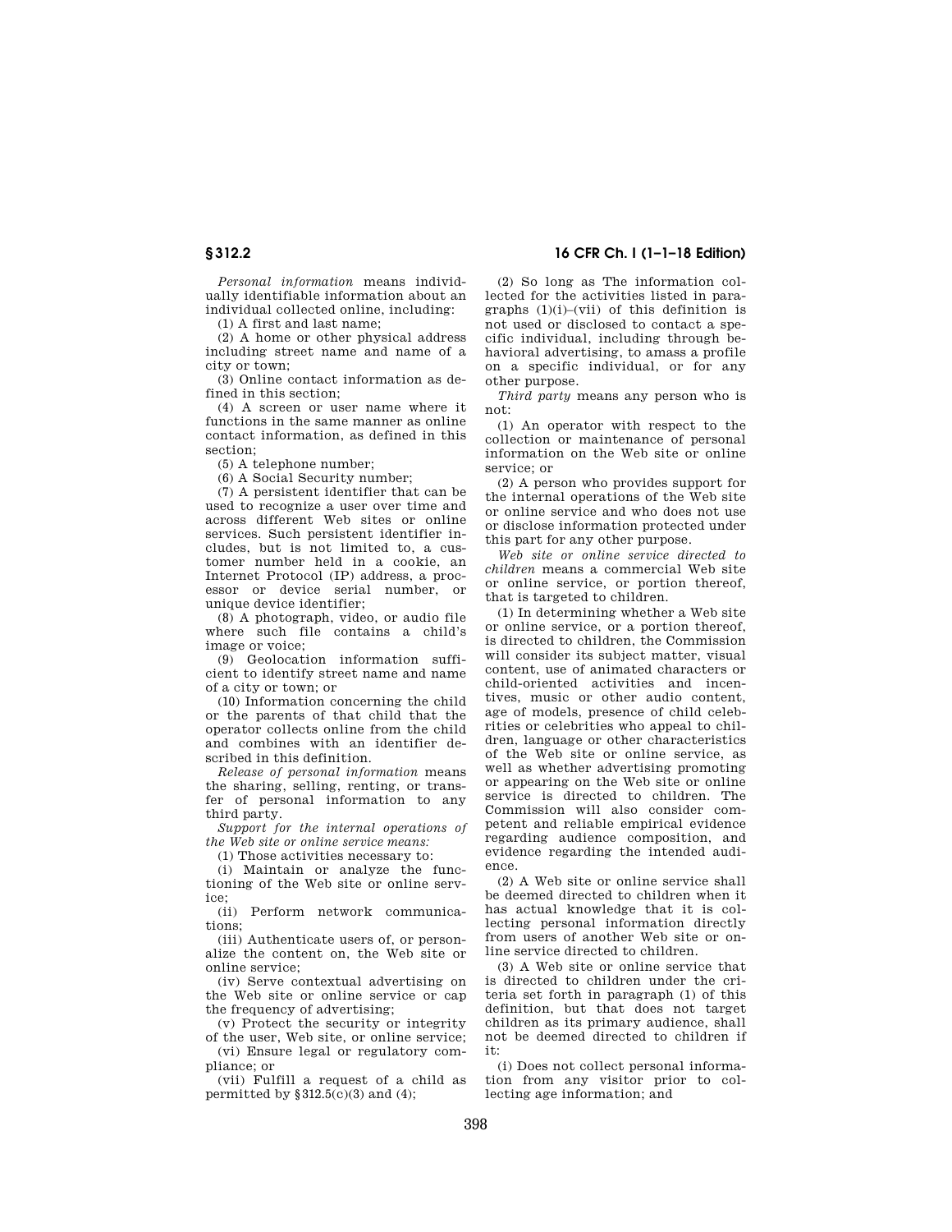*Personal information* means individually identifiable information about an individual collected online, including: (1) A first and last name;

(2) A home or other physical address including street name and name of a city or town;

(3) Online contact information as defined in this section;

(4) A screen or user name where it functions in the same manner as online contact information, as defined in this section;

(5) A telephone number;

(6) A Social Security number;

(7) A persistent identifier that can be used to recognize a user over time and across different Web sites or online services. Such persistent identifier includes, but is not limited to, a customer number held in a cookie, an Internet Protocol (IP) address, a processor or device serial number, or unique device identifier;

(8) A photograph, video, or audio file where such file contains a child's image or voice;

(9) Geolocation information sufficient to identify street name and name of a city or town; or

(10) Information concerning the child or the parents of that child that the operator collects online from the child and combines with an identifier described in this definition.

*Release of personal information* means the sharing, selling, renting, or transfer of personal information to any third party.

*Support for the internal operations of the Web site or online service means:* 

(1) Those activities necessary to:

(i) Maintain or analyze the functioning of the Web site or online service;

(ii) Perform network communications;

(iii) Authenticate users of, or personalize the content on, the Web site or online service;

(iv) Serve contextual advertising on the Web site or online service or cap the frequency of advertising;

(v) Protect the security or integrity of the user, Web site, or online service;

(vi) Ensure legal or regulatory compliance; or

(vii) Fulfill a request of a child as permitted by  $§312.5(c)(3)$  and (4);

# **§ 312.2 16 CFR Ch. I (1–1–18 Edition)**

(2) So long as The information collected for the activities listed in paragraphs  $(1)(i)$ –(vii) of this definition is not used or disclosed to contact a specific individual, including through behavioral advertising, to amass a profile on a specific individual, or for any other purpose.

*Third party* means any person who is not:

(1) An operator with respect to the collection or maintenance of personal information on the Web site or online service; or

(2) A person who provides support for the internal operations of the Web site or online service and who does not use or disclose information protected under this part for any other purpose.

*Web site or online service directed to children* means a commercial Web site or online service, or portion thereof, that is targeted to children.

(1) In determining whether a Web site or online service, or a portion thereof, is directed to children, the Commission will consider its subject matter, visual content, use of animated characters or child-oriented activities and incentives, music or other audio content, age of models, presence of child celebrities or celebrities who appeal to children, language or other characteristics of the Web site or online service, as well as whether advertising promoting or appearing on the Web site or online service is directed to children. The Commission will also consider competent and reliable empirical evidence regarding audience composition, and evidence regarding the intended audience.

(2) A Web site or online service shall be deemed directed to children when it has actual knowledge that it is collecting personal information directly from users of another Web site or online service directed to children.

(3) A Web site or online service that is directed to children under the criteria set forth in paragraph (1) of this definition, but that does not target children as its primary audience, shall not be deemed directed to children if it:

(i) Does not collect personal information from any visitor prior to collecting age information; and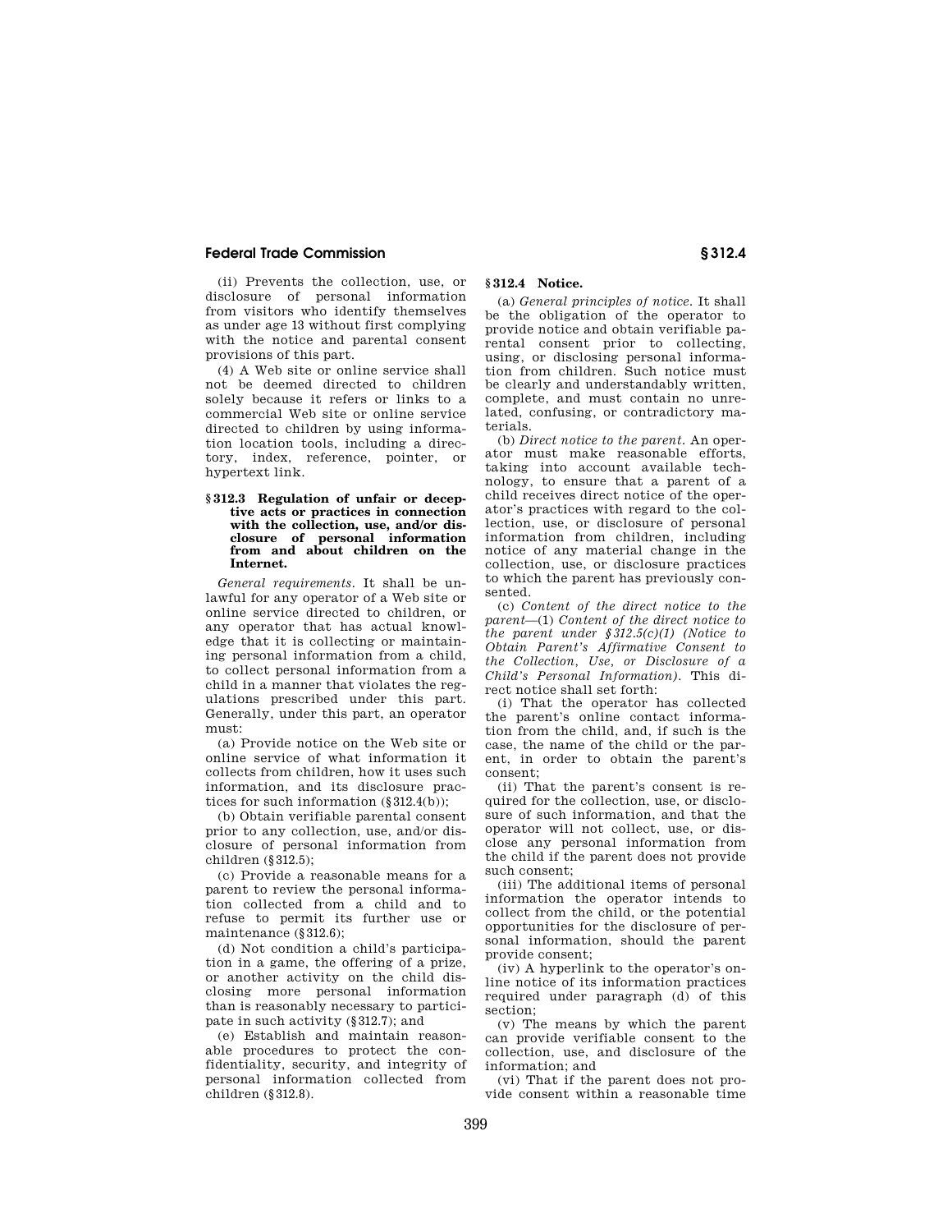(ii) Prevents the collection, use, or disclosure of personal information from visitors who identify themselves as under age 13 without first complying with the notice and parental consent provisions of this part.

(4) A Web site or online service shall not be deemed directed to children solely because it refers or links to a commercial Web site or online service directed to children by using information location tools, including a directory, index, reference, pointer, or hypertext link.

### **§ 312.3 Regulation of unfair or deceptive acts or practices in connection with the collection, use, and/or disclosure of personal information from and about children on the Internet.**

*General requirements.* It shall be unlawful for any operator of a Web site or online service directed to children, or any operator that has actual knowledge that it is collecting or maintaining personal information from a child, to collect personal information from a child in a manner that violates the regulations prescribed under this part. Generally, under this part, an operator must:

(a) Provide notice on the Web site or online service of what information it collects from children, how it uses such information, and its disclosure practices for such information (§312.4(b));

(b) Obtain verifiable parental consent prior to any collection, use, and/or disclosure of personal information from children (§312.5);

(c) Provide a reasonable means for a parent to review the personal information collected from a child and to refuse to permit its further use or maintenance (§312.6);

(d) Not condition a child's participation in a game, the offering of a prize, or another activity on the child disclosing more personal information than is reasonably necessary to participate in such activity (§312.7); and

(e) Establish and maintain reasonable procedures to protect the confidentiality, security, and integrity of personal information collected from children (§312.8).

# **§ 312.4 Notice.**

(a) *General principles of notice.* It shall be the obligation of the operator to provide notice and obtain verifiable parental consent prior to collecting, using, or disclosing personal information from children. Such notice must be clearly and understandably written, complete, and must contain no unrelated, confusing, or contradictory materials.

(b) *Direct notice to the parent.* An operator must make reasonable efforts, taking into account available technology, to ensure that a parent of a child receives direct notice of the operator's practices with regard to the collection, use, or disclosure of personal information from children, including notice of any material change in the collection, use, or disclosure practices to which the parent has previously consented.

(c) *Content of the direct notice to the parent*—(1) *Content of the direct notice to the parent under §312.5(c)(1) (Notice to Obtain Parent's Affirmative Consent to the Collection, Use, or Disclosure of a Child's Personal Information).* This direct notice shall set forth:

(i) That the operator has collected the parent's online contact information from the child, and, if such is the case, the name of the child or the parent, in order to obtain the parent's consent;

(ii) That the parent's consent is required for the collection, use, or disclosure of such information, and that the operator will not collect, use, or disclose any personal information from the child if the parent does not provide such consent;

(iii) The additional items of personal information the operator intends to collect from the child, or the potential opportunities for the disclosure of personal information, should the parent provide consent;

(iv) A hyperlink to the operator's online notice of its information practices required under paragraph (d) of this section;

(v) The means by which the parent can provide verifiable consent to the collection, use, and disclosure of the information; and

(vi) That if the parent does not provide consent within a reasonable time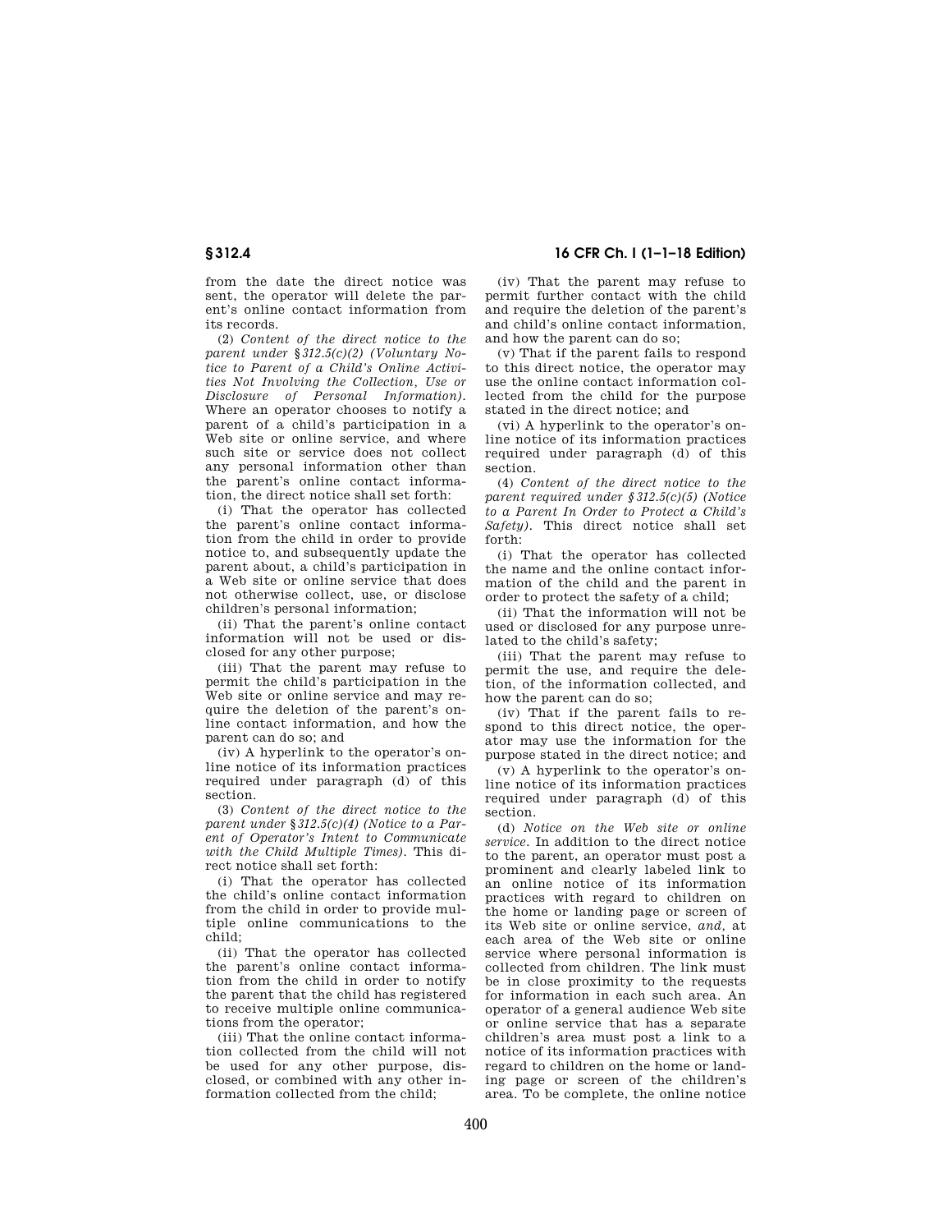from the date the direct notice was sent, the operator will delete the parent's online contact information from its records.

(2) *Content of the direct notice to the parent under* § *312.5(c)(2) (Voluntary Notice to Parent of a Child's Online Activities Not Involving the Collection, Use or Disclosure of Personal Information).*  Where an operator chooses to notify a parent of a child's participation in a Web site or online service, and where such site or service does not collect any personal information other than the parent's online contact information, the direct notice shall set forth:

(i) That the operator has collected the parent's online contact information from the child in order to provide notice to, and subsequently update the parent about, a child's participation in a Web site or online service that does not otherwise collect, use, or disclose children's personal information;

(ii) That the parent's online contact information will not be used or disclosed for any other purpose;

(iii) That the parent may refuse to permit the child's participation in the Web site or online service and may require the deletion of the parent's online contact information, and how the parent can do so; and

(iv) A hyperlink to the operator's online notice of its information practices required under paragraph (d) of this section.

(3) *Content of the direct notice to the parent under* § *312.5(c)(4) (Notice to a Parent of Operator's Intent to Communicate with the Child Multiple Times).* This direct notice shall set forth:

(i) That the operator has collected the child's online contact information from the child in order to provide multiple online communications to the child;

(ii) That the operator has collected the parent's online contact information from the child in order to notify the parent that the child has registered to receive multiple online communications from the operator;

(iii) That the online contact information collected from the child will not be used for any other purpose, disclosed, or combined with any other information collected from the child;

(iv) That the parent may refuse to permit further contact with the child and require the deletion of the parent's and child's online contact information, and how the parent can do so;

(v) That if the parent fails to respond to this direct notice, the operator may use the online contact information collected from the child for the purpose stated in the direct notice; and

(vi) A hyperlink to the operator's online notice of its information practices required under paragraph (d) of this section.

(4) *Content of the direct notice to the parent required under §312.5(c)(5) (Notice to a Parent In Order to Protect a Child's Safety).* This direct notice shall set forth:

(i) That the operator has collected the name and the online contact information of the child and the parent in order to protect the safety of a child;

(ii) That the information will not be used or disclosed for any purpose unrelated to the child's safety;

(iii) That the parent may refuse to permit the use, and require the deletion, of the information collected, and how the parent can do so;

(iv) That if the parent fails to respond to this direct notice, the operator may use the information for the purpose stated in the direct notice; and

(v) A hyperlink to the operator's online notice of its information practices required under paragraph (d) of this section.

(d) *Notice on the Web site or online service.* In addition to the direct notice to the parent, an operator must post a prominent and clearly labeled link to an online notice of its information practices with regard to children on the home or landing page or screen of its Web site or online service, *and,* at each area of the Web site or online service where personal information is collected from children. The link must be in close proximity to the requests for information in each such area. An operator of a general audience Web site or online service that has a separate children's area must post a link to a notice of its information practices with regard to children on the home or landing page or screen of the children's area. To be complete, the online notice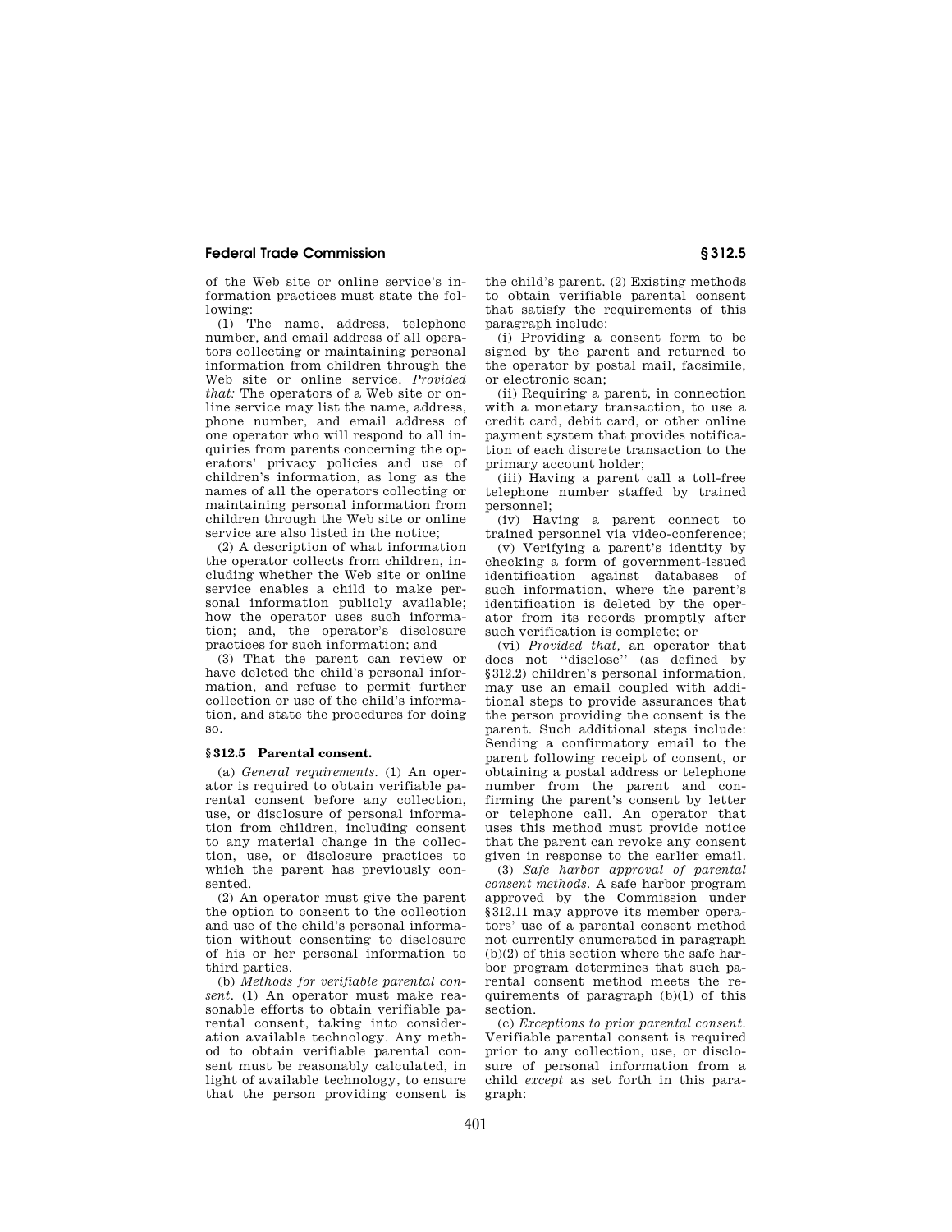of the Web site or online service's information practices must state the following:

(1) The name, address, telephone number, and email address of all operators collecting or maintaining personal information from children through the Web site or online service. *Provided that:* The operators of a Web site or online service may list the name, address, phone number, and email address of one operator who will respond to all inquiries from parents concerning the operators' privacy policies and use of children's information, as long as the names of all the operators collecting or maintaining personal information from children through the Web site or online service are also listed in the notice;

(2) A description of what information the operator collects from children, including whether the Web site or online service enables a child to make personal information publicly available; how the operator uses such information; and, the operator's disclosure practices for such information; and

(3) That the parent can review or have deleted the child's personal information, and refuse to permit further collection or use of the child's information, and state the procedures for doing so.

#### **§ 312.5 Parental consent.**

(a) *General requirements.* (1) An operator is required to obtain verifiable parental consent before any collection, use, or disclosure of personal information from children, including consent to any material change in the collection, use, or disclosure practices to which the parent has previously consented.

(2) An operator must give the parent the option to consent to the collection and use of the child's personal information without consenting to disclosure of his or her personal information to third parties.

(b) *Methods for verifiable parental consent.* (1) An operator must make reasonable efforts to obtain verifiable parental consent, taking into consideration available technology. Any method to obtain verifiable parental consent must be reasonably calculated, in light of available technology, to ensure that the person providing consent is the child's parent. (2) Existing methods to obtain verifiable parental consent that satisfy the requirements of this paragraph include:

(i) Providing a consent form to be signed by the parent and returned to the operator by postal mail, facsimile, or electronic scan;

(ii) Requiring a parent, in connection with a monetary transaction, to use a credit card, debit card, or other online payment system that provides notification of each discrete transaction to the primary account holder;

(iii) Having a parent call a toll-free telephone number staffed by trained personnel;

(iv) Having a parent connect to trained personnel via video-conference;

(v) Verifying a parent's identity by checking a form of government-issued identification against databases of such information, where the parent's identification is deleted by the operator from its records promptly after such verification is complete; or

(vi) *Provided that,* an operator that does not ''disclose'' (as defined by §312.2) children's personal information, may use an email coupled with additional steps to provide assurances that the person providing the consent is the parent. Such additional steps include: Sending a confirmatory email to the parent following receipt of consent, or obtaining a postal address or telephone number from the parent and confirming the parent's consent by letter or telephone call. An operator that uses this method must provide notice that the parent can revoke any consent given in response to the earlier email.

(3) *Safe harbor approval of parental consent methods.* A safe harbor program approved by the Commission under §312.11 may approve its member operators' use of a parental consent method not currently enumerated in paragraph (b)(2) of this section where the safe harbor program determines that such parental consent method meets the requirements of paragraph (b)(1) of this section.

(c) *Exceptions to prior parental consent.*  Verifiable parental consent is required prior to any collection, use, or disclosure of personal information from a child *except* as set forth in this paragraph: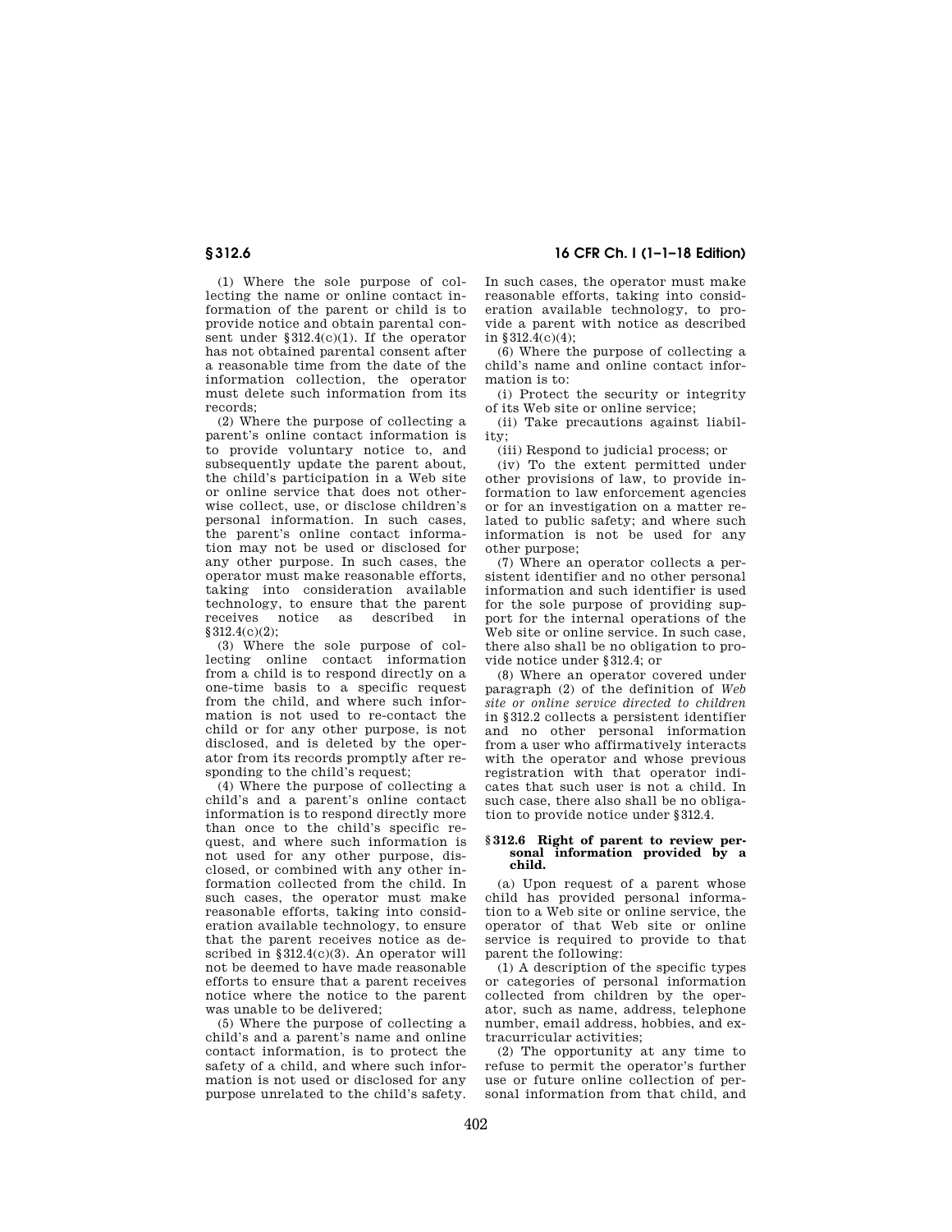# **§ 312.6 16 CFR Ch. I (1–1–18 Edition)**

(1) Where the sole purpose of collecting the name or online contact information of the parent or child is to provide notice and obtain parental consent under §312.4(c)(1). If the operator has not obtained parental consent after a reasonable time from the date of the information collection, the operator must delete such information from its records;

(2) Where the purpose of collecting a parent's online contact information is to provide voluntary notice to, and subsequently update the parent about, the child's participation in a Web site or online service that does not otherwise collect, use, or disclose children's personal information. In such cases, the parent's online contact information may not be used or disclosed for any other purpose. In such cases, the operator must make reasonable efforts, taking into consideration available technology, to ensure that the parent<br>receives notice as described in notice as described in §312.4(c)(2);

(3) Where the sole purpose of collecting online contact information from a child is to respond directly on a one-time basis to a specific request from the child, and where such information is not used to re-contact the child or for any other purpose, is not disclosed, and is deleted by the operator from its records promptly after responding to the child's request;

(4) Where the purpose of collecting a child's and a parent's online contact information is to respond directly more than once to the child's specific request, and where such information is not used for any other purpose, disclosed, or combined with any other information collected from the child. In such cases, the operator must make reasonable efforts, taking into consideration available technology, to ensure that the parent receives notice as described in §312.4(c)(3). An operator will not be deemed to have made reasonable efforts to ensure that a parent receives notice where the notice to the parent was unable to be delivered;

(5) Where the purpose of collecting a child's and a parent's name and online contact information, is to protect the safety of a child, and where such information is not used or disclosed for any purpose unrelated to the child's safety.

In such cases, the operator must make reasonable efforts, taking into consideration available technology, to provide a parent with notice as described in §312.4(c)(4);

(6) Where the purpose of collecting a child's name and online contact information is to:

(i) Protect the security or integrity of its Web site or online service;

(ii) Take precautions against liability;

(iii) Respond to judicial process; or

(iv) To the extent permitted under other provisions of law, to provide information to law enforcement agencies or for an investigation on a matter related to public safety; and where such information is not be used for any other purpose;

(7) Where an operator collects a persistent identifier and no other personal information and such identifier is used for the sole purpose of providing support for the internal operations of the Web site or online service. In such case, there also shall be no obligation to provide notice under §312.4; or

(8) Where an operator covered under paragraph (2) of the definition of *Web site or online service directed to children*  in §312.2 collects a persistent identifier and no other personal information from a user who affirmatively interacts with the operator and whose previous registration with that operator indicates that such user is not a child. In such case, there also shall be no obligation to provide notice under §312.4.

#### **§ 312.6 Right of parent to review personal information provided by a child.**

(a) Upon request of a parent whose child has provided personal information to a Web site or online service, the operator of that Web site or online service is required to provide to that parent the following:

(1) A description of the specific types or categories of personal information collected from children by the operator, such as name, address, telephone number, email address, hobbies, and extracurricular activities;

(2) The opportunity at any time to refuse to permit the operator's further use or future online collection of personal information from that child, and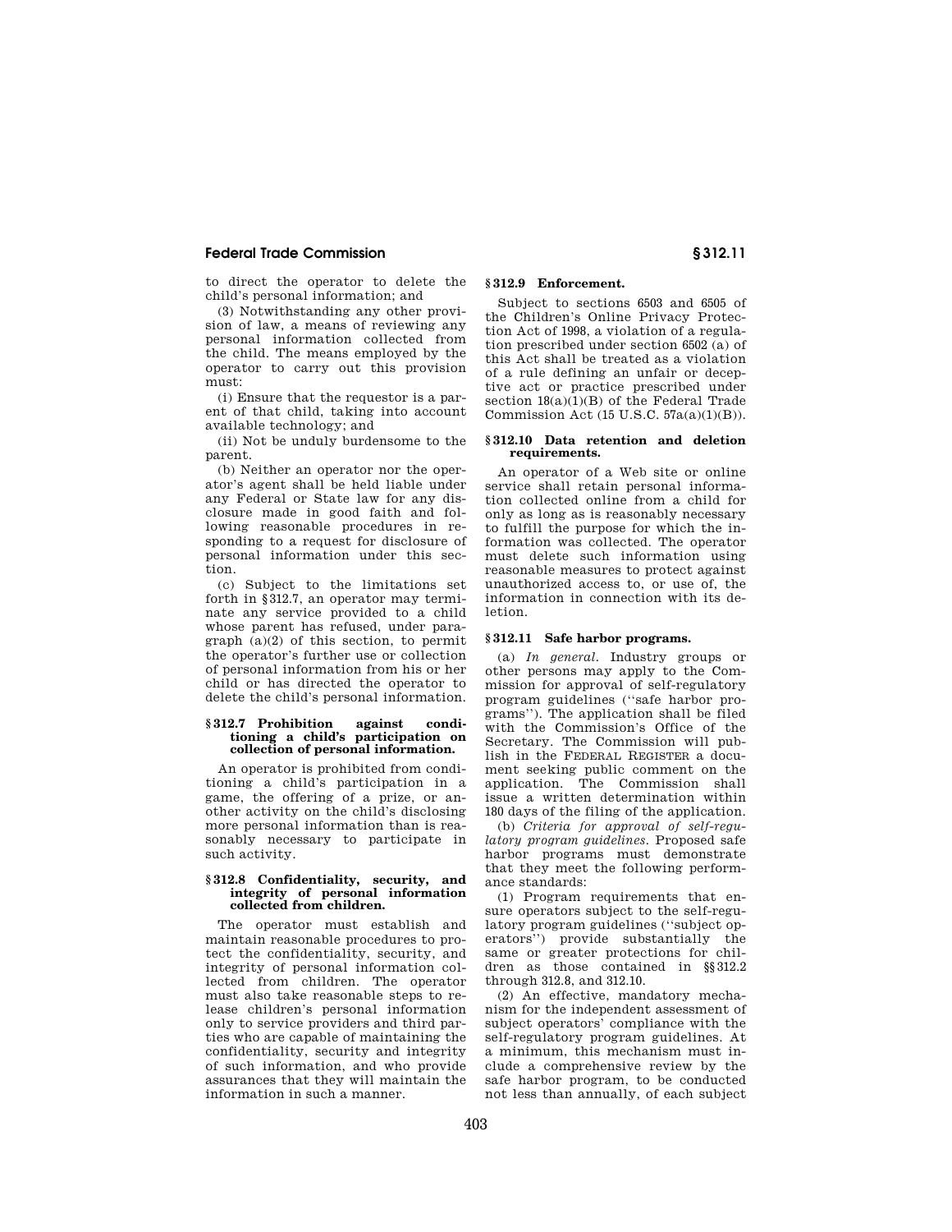to direct the operator to delete the child's personal information; and

(3) Notwithstanding any other provision of law, a means of reviewing any personal information collected from the child. The means employed by the operator to carry out this provision must:

(i) Ensure that the requestor is a parent of that child, taking into account available technology; and

(ii) Not be unduly burdensome to the parent.

(b) Neither an operator nor the operator's agent shall be held liable under any Federal or State law for any disclosure made in good faith and following reasonable procedures in responding to a request for disclosure of personal information under this section.

(c) Subject to the limitations set forth in §312.7, an operator may terminate any service provided to a child whose parent has refused, under paragraph  $(a)(2)$  of this section, to permit the operator's further use or collection of personal information from his or her child or has directed the operator to delete the child's personal information.

#### **§ 312.7 Prohibition against conditioning a child's participation on collection of personal information.**

An operator is prohibited from conditioning a child's participation in a game, the offering of a prize, or another activity on the child's disclosing more personal information than is reasonably necessary to participate in such activity.

## **§ 312.8 Confidentiality, security, and integrity of personal information collected from children.**

The operator must establish and maintain reasonable procedures to protect the confidentiality, security, and integrity of personal information collected from children. The operator must also take reasonable steps to release children's personal information only to service providers and third parties who are capable of maintaining the confidentiality, security and integrity of such information, and who provide assurances that they will maintain the information in such a manner.

# **§ 312.9 Enforcement.**

Subject to sections 6503 and 6505 of the Children's Online Privacy Protection Act of 1998, a violation of a regulation prescribed under section 6502 (a) of this Act shall be treated as a violation of a rule defining an unfair or deceptive act or practice prescribed under section  $18(a)(1)(B)$  of the Federal Trade Commission Act  $(15 \text{ U.S.C. } 57a(a)(1)(B)).$ 

#### **§ 312.10 Data retention and deletion requirements.**

An operator of a Web site or online service shall retain personal information collected online from a child for only as long as is reasonably necessary to fulfill the purpose for which the information was collected. The operator must delete such information using reasonable measures to protect against unauthorized access to, or use of, the information in connection with its deletion.

## **§ 312.11 Safe harbor programs.**

(a) *In general.* Industry groups or other persons may apply to the Commission for approval of self-regulatory program guidelines (''safe harbor programs''). The application shall be filed with the Commission's Office of the Secretary. The Commission will publish in the FEDERAL REGISTER a document seeking public comment on the application. The Commission shall issue a written determination within 180 days of the filing of the application.

(b) *Criteria for approval of self-regulatory program guidelines.* Proposed safe harbor programs must demonstrate that they meet the following performance standards:

(1) Program requirements that ensure operators subject to the self-regulatory program guidelines (''subject operators'') provide substantially the same or greater protections for children as those contained in §§312.2 through 312.8, and 312.10.

(2) An effective, mandatory mechanism for the independent assessment of subject operators' compliance with the self-regulatory program guidelines. At a minimum, this mechanism must include a comprehensive review by the safe harbor program, to be conducted not less than annually, of each subject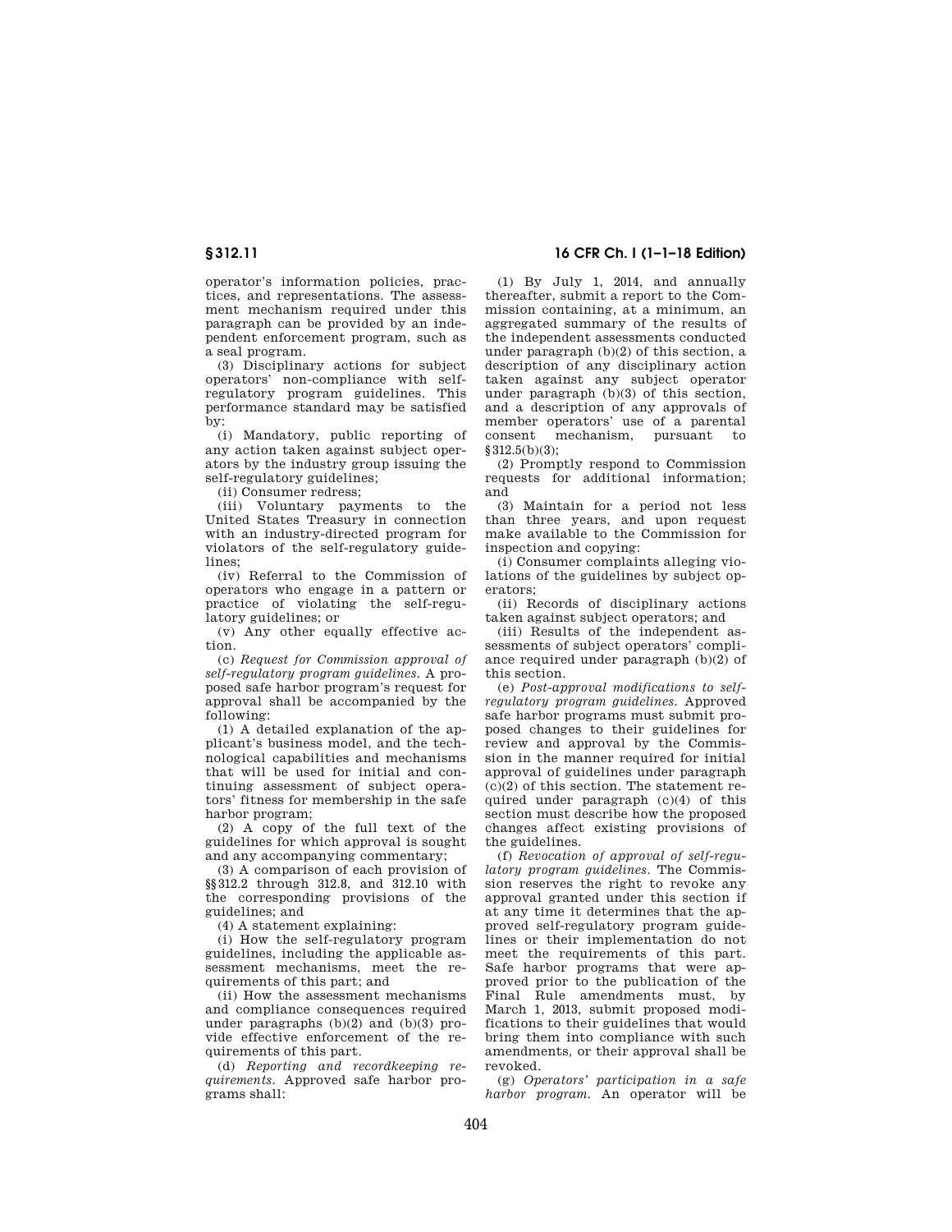operator's information policies, practices, and representations. The assessment mechanism required under this paragraph can be provided by an independent enforcement program, such as a seal program.

(3) Disciplinary actions for subject operators' non-compliance with selfregulatory program guidelines. This performance standard may be satisfied by:

(i) Mandatory, public reporting of any action taken against subject operators by the industry group issuing the self-regulatory guidelines;

(ii) Consumer redress;

(iii) Voluntary payments to the United States Treasury in connection with an industry-directed program for violators of the self-regulatory guidelines;

(iv) Referral to the Commission of operators who engage in a pattern or practice of violating the self-regulatory guidelines; or

(v) Any other equally effective action.

(c) *Request for Commission approval of self-regulatory program guidelines.* A proposed safe harbor program's request for approval shall be accompanied by the following:

(1) A detailed explanation of the applicant's business model, and the technological capabilities and mechanisms that will be used for initial and continuing assessment of subject operators' fitness for membership in the safe harbor program;

(2) A copy of the full text of the guidelines for which approval is sought and any accompanying commentary;

(3) A comparison of each provision of §§312.2 through 312.8, and 312.10 with the corresponding provisions of the guidelines; and

(4) A statement explaining:

(i) How the self-regulatory program guidelines, including the applicable assessment mechanisms, meet the requirements of this part; and

(ii) How the assessment mechanisms and compliance consequences required under paragraphs  $(b)(2)$  and  $(b)(3)$  provide effective enforcement of the requirements of this part.

(d) *Reporting and recordkeeping requirements.* Approved safe harbor programs shall:

# **§ 312.11 16 CFR Ch. I (1–1–18 Edition)**

(1) By July 1, 2014, and annually thereafter, submit a report to the Commission containing, at a minimum, an aggregated summary of the results of the independent assessments conducted under paragraph (b)(2) of this section, a description of any disciplinary action taken against any subject operator under paragraph (b)(3) of this section, and a description of any approvals of member operators' use of a parental<br>consent mechanism pursuant to mechanism, pursuant  $$312.5(b)(3):$ 

(2) Promptly respond to Commission requests for additional information: and

(3) Maintain for a period not less than three years, and upon request make available to the Commission for inspection and copying:

(i) Consumer complaints alleging violations of the guidelines by subject operators;

(ii) Records of disciplinary actions taken against subject operators; and

(iii) Results of the independent assessments of subject operators' compliance required under paragraph (b)(2) of this section.

(e) *Post-approval modifications to selfregulatory program guidelines.* Approved safe harbor programs must submit proposed changes to their guidelines for review and approval by the Commission in the manner required for initial approval of guidelines under paragraph  $(c)(2)$  of this section. The statement required under paragraph (c)(4) of this section must describe how the proposed changes affect existing provisions of the guidelines.

(f) *Revocation of approval of self-regulatory program guidelines.* The Commission reserves the right to revoke any approval granted under this section if at any time it determines that the approved self-regulatory program guidelines or their implementation do not meet the requirements of this part. Safe harbor programs that were approved prior to the publication of the Final Rule amendments must, by March 1, 2013, submit proposed modifications to their guidelines that would bring them into compliance with such amendments, or their approval shall be revoked.

(g) *Operators' participation in a safe harbor program.* An operator will be